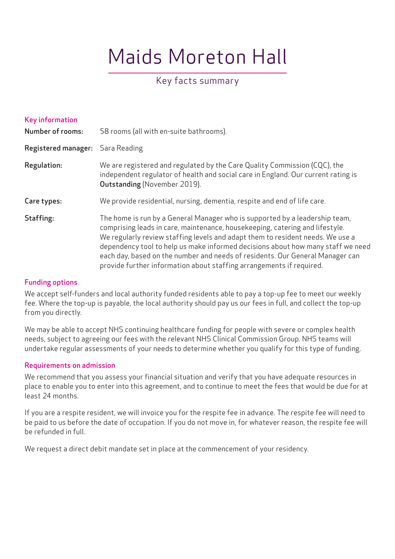# Maids Moreton Hall

# Key facts summary

| <b>Key information</b><br><b>Number of rooms:</b> | 58 rooms (all with en-suite bathrooms).                                                                                                                                                                                                                                                                                                                                                                                                                                                   |
|---------------------------------------------------|-------------------------------------------------------------------------------------------------------------------------------------------------------------------------------------------------------------------------------------------------------------------------------------------------------------------------------------------------------------------------------------------------------------------------------------------------------------------------------------------|
| <b>Registered manager:</b>                        | Sara Reading                                                                                                                                                                                                                                                                                                                                                                                                                                                                              |
| Regulation:                                       | We are registered and regulated by the Care Quality Commission (CQC), the<br>independent regulator of health and social care in England. Our current rating is<br><b>Outstanding (November 2019).</b>                                                                                                                                                                                                                                                                                     |
| Care types:                                       | We provide residential, nursing, dementia, respite and end of life care.                                                                                                                                                                                                                                                                                                                                                                                                                  |
| Staffing:                                         | The home is run by a General Manager who is supported by a leadership team,<br>comprising leads in care, maintenance, housekeeping, catering and lifestyle.<br>We regularly review staffing levels and adapt them to resident needs. We use a<br>dependency tool to help us make informed decisions about how many staff we need<br>each day, based on the number and needs of residents. Our General Manager can<br>provide further information about staffing arrangements if required. |

## Funding options

We accept self-funders and local authority funded residents able to pay a top-up fee to meet our weekly fee. Where the top-up is payable, the local authority should pay us our fees in full, and collect the top-up from you directly.

We may be able to accept NHS continuing healthcare funding for people with severe or complex health needs, subject to agreeing our fees with the relevant NHS Clinical Commission Group. NHS teams will undertake regular assessments of your needs to determine whether you qualify for this type of funding.

# Requirements on admission

We recommend that you assess your financial situation and verify that you have adequate resources in place to enable you to enter into this agreement, and to continue to meet the fees that would be due for at least 24 months.

If you are a respite resident, we will invoice you for the respite fee in advance. The respite fee will need to be paid to us before the date of occupation. If you do not move in, for whatever reason, the respite fee will be refunded in full.

We request a direct debit mandate set in place at the commencement of your residency.